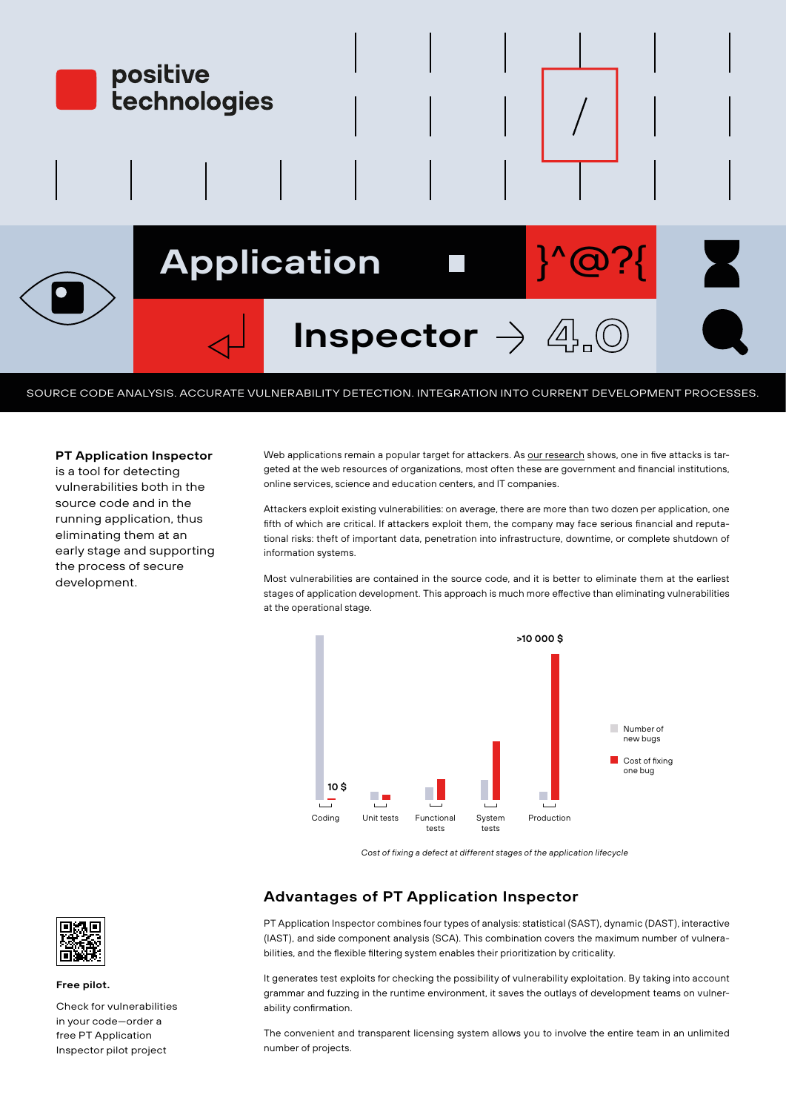

SOURCE CODE ANALYSIS. ACCURATE VULNERABILITY DETECTION. INTEGRATION INTO CURRENT DEVELOPMENT PROCESSES.

### **PT Application Inspector**

is a tool for detecting vulnerabilities both in the source code and in the running application, thus eliminating them at an early stage and supporting the process of secure development.

Web applications remain a popular target for attackers. As [our research](https://www.ptsecurity.com/ru-ru/research/analytics/cybersecurity-threatscape-2019/) shows, one in five attacks is targeted at the web resources of organizations, most often these are government and financial institutions, online services, science and education centers, and IT companies.

Attackers exploit existing vulnerabilities: on average, there are more than two dozen per application, one fifth of which are critical. If attackers exploit them, the company may face serious financial and reputational risks: theft of important data, penetration into infrastructure, downtime, or complete shutdown of information systems.

Most vulnerabilities are contained in the source code, and it is better to eliminate them at the earliest stages of application development. This approach is much more effective than eliminating vulnerabilities at the operational stage.



*Cost of fixing a defect at different stages of the application lifecycle*

## **Advantages of PT Application Inspector**

PT Application Inspector combines four types of analysis: statistical (SAST), dynamic (DAST), interactive (IAST), and side component analysis (SCA). This combination covers the maximum number of vulnerabilities, and the flexible filtering system enables their prioritization by criticality.

It generates test exploits for checking the possibility of vulnerability exploitation. By taking into account grammar and fuzzing in the runtime environment, it saves the outlays of development teams on vulnerability confirmation.

The convenient and transparent licensing system allows you to involve the entire team in an unlimited number of projects.



#### **Free pilot.**

Check for vulnerabilities in your code—order a free PT Application Inspector pilot project